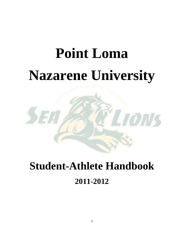# **Point Loma Nazarene University**



# **Student-Athlete Handbook 2011-2012**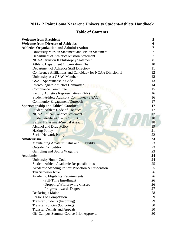# **2011-12 Point Loma Nazarene University Student-Athlete Handbook**

# **Table of Contents**

| <b>Welcome from President</b>                              | 5              |
|------------------------------------------------------------|----------------|
| <b>Welcome from Director of Athletics</b>                  | 6              |
| <b>Athletics Organization and Administration</b>           | 7              |
| University Mission Statement and Vision Statement          | 7              |
| Department of Athletics Mission Statement                  | $\overline{7}$ |
| <b>NCAA Division II Philosophy Statement</b>               | 8              |
| Athletic Department Organization Chart                     | 10             |
| Department of Athletics Staff Directory                    | 11             |
| Conference Affiliations and Candidacy for NCAA Division II | 12             |
| University as a GSAC Member                                | 12             |
| <b>GSAC Sportsmanship Code</b>                             | 13             |
| <b>Intercollegiate Athletics Committee</b>                 | 14             |
| <b>Compliance Committee</b>                                | 15             |
| Faculty Athletics Representative (FAR)                     | 16             |
| <b>Student-Athlete Advisory Committee (SAAC)</b>           | 16             |
| Community Engagement/Outreach                              | 17             |
| <b>Sportsmanship and Ethical Conduct</b>                   | 17             |
| <b>Student-Athlete Code of Conduct</b>                     | 17             |
| <b>NCAA Ethical Conduct Statement</b>                      | 17             |
| Student-Athlete/Coach Conflict                             | 18             |
| <b>Sexual Harassment/Sexual Assault</b>                    | 18             |
| <b>Alcohol and Drug Policy</b>                             | 19             |
| <b>Hazing Policy</b>                                       | 21             |
| <b>Social Network Policy</b>                               | 22             |
| <b>Amateurism</b>                                          | 23             |
| Maintaining Amateur Status and Eligibility                 | 23             |
| <b>Outside Competition</b>                                 | 23             |
| Gambling and Sports Wagering                               | 23             |
| <b>Academics</b>                                           | 24             |
| <b>University Honor Code</b>                               | 24             |
| Student-Athlete Academic Responsibilities                  | 25             |
| Academic Standing Policy: Probation & Suspension           | 25             |
| Ten Semester Rule                                          | 26             |
| <b>Academic Eligibility Requirements</b>                   | 26             |
| -Full-Time Enrollment                                      | 26             |
| -Dropping/Withdrawing Classes                              | 26             |
| -Progress towards Degree                                   | 27             |
| Declaring a Major                                          | 28             |
| Seasons of Competition                                     | 29             |
| <b>Transfer Students (Incoming)</b>                        | 29             |
| <b>Transfer Policies (Outgoing)</b>                        | 30             |
| <b>Transfer Denials and Appeals</b>                        | 30             |
| Off-Campus Summer Course Prior Approval                    | 30             |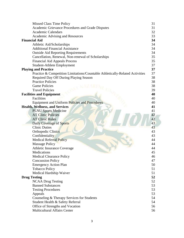| <b>Missed Class Time Policy</b>                                              | 31 |
|------------------------------------------------------------------------------|----|
| Academic Grievance Procedures and Grade Disputes                             | 31 |
| <b>Academic Calendars</b>                                                    | 32 |
| Academic Advising and Resources                                              | 33 |
| <b>Financial Aid</b>                                                         | 34 |
| Athletic Aid/Scholarships                                                    | 34 |
| <b>Additional Financial Assistance</b>                                       | 34 |
| <b>Outside Aid Reporting Requirements</b>                                    | 34 |
| Cancellation, Renewal, Non-renewal of Scholarships                           | 35 |
| <b>Financial Aid Appeals Process</b>                                         | 35 |
| <b>Student-Athlete Employment</b>                                            | 37 |
| <b>Playing and Practice</b>                                                  | 37 |
| Practice & Competition Limitations/Countable Athletically-Related Activities | 37 |
| Required Day Off During Playing Season                                       | 38 |
| <b>Practice Policies</b>                                                     | 38 |
| <b>Game Policies</b>                                                         | 38 |
| <b>Travel Policies</b>                                                       | 39 |
| <b>Facilities and Equipment</b>                                              | 40 |
| Facilities                                                                   | 40 |
| <b>Equipment and Uniform Policies and Procedures</b>                         | 40 |
| <b>Health, Wellness, and Services</b>                                        | 41 |
| <b>PLNU Sports Medicine</b>                                                  | 41 |
| <b>AT Clinic Policies</b>                                                    | 42 |
| <b>AT Clinic Rules</b>                                                       | 42 |
| Daily Coverage of Sports                                                     | 43 |
| <b>Clinic Duties</b>                                                         | 43 |
| <b>Orthopedic Clinics</b>                                                    | 43 |
| Confidentiality                                                              | 43 |
| <b>Medical Referral Policy</b>                                               | 44 |
| <b>Massage Policy</b>                                                        | 44 |
| Athletic Insurance Coverage                                                  | 44 |
| Medications                                                                  | 45 |
| <b>Medical Clearance Policy</b>                                              | 46 |
| <b>Concussion Policy</b>                                                     | 47 |
| <b>Emergency Action Plan</b>                                                 | 50 |
| <b>Tobacco Policy</b>                                                        | 51 |
| Medical Hardship Waiver                                                      | 51 |
| <b>Drug Testing</b>                                                          | 52 |
| <b>NCAA Drug Testing</b>                                                     | 52 |
| <b>Banned Substances</b>                                                     | 53 |
| <b>Testing Procedures</b>                                                    | 53 |
| Appeals                                                                      | 53 |
| Counseling & Therapy Services for Students                                   | 54 |
| Student Health & Safety Referral                                             | 54 |
| Office of Strengths and Vocation                                             | 56 |
| <b>Multicultural Affairs Center</b>                                          | 56 |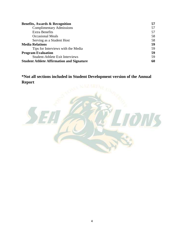| <b>Benefits, Awards &amp; Recognition</b>        | 57 |
|--------------------------------------------------|----|
| <b>Complimentary Admissions</b>                  | 57 |
| <b>Extra Benefits</b>                            | 57 |
| <b>Occasional Meals</b>                          | 58 |
| Serving as a Student Host                        | 58 |
| <b>Media Relations</b>                           | 59 |
| Tips for Interviews with the Media               | 59 |
| <b>Program Evaluation</b>                        | 59 |
| <b>Student-Athlete Exit Interviews</b>           | 59 |
| <b>Student Athlete Affirmation and Signature</b> |    |

**\*Not all sections included in Student Development version of the Annual Report**

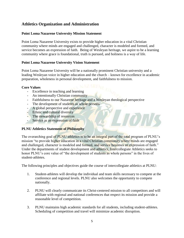# **Athletics Organization and Administration**

# **Point Loma Nazarene University Mission Statement**

Point Loma Nazarene University exists to provide higher education in a vital Christian community where minds are engaged and challenged, character is modeled and formed, and service becomes an expression of faith. Being of Wesleyan heritage, we aspire to be a learning community where grace is foundational, truth is pursued, and holiness is a way of life.

# **Point Loma Nazarene University Vision Statement**

Point Loma Nazarene University will be a nationally prominent Christian university and a leading Wesleyan voice in higher education and the church – known for excellence in academic preparation, wholeness in personal development, and faithfulness to mission.

# **Core Values**

- Excellence in teaching and learning
- An intentionally Christian community
- Faithfulness to our Nazarene heritage and a Wesleyan theological perspective
- The development of students as whole persons
- A global perspective and experience
- Ethnic and cultural diversity
- The stewardship of resources
- Service as an expression of faith

# **PLNU Athletics Statement of Philosophy**

The overarching goal of PLNU athletics is to be an integral part of the total program of PLNU's mission "to provide higher education in a vital Christian community where minds are engaged and challenged, character is modeled and formed, and service becomes an expression of faith." Under the departments of student development and athletics, Intercollegiate Athletics seeks to honor PLNU's core value of "the development of students as whole persons" in the lives of student-athletes.

**TOIT** 

The following principles and objectives guide the course of intercollegiate athletics at PLNU:

- 1. Student-athletes will develop the individual and team skills necessary to compete at the conference and regional levels. PLNU also welcomes the opportunity to compete nationally.
- 2. PLNU will clearly communicate its Christ-centered mission to all competitors and will affiliate with regional and national conferences that respect its mission and provide a reasonable level of competition.
- 3. PLNU maintains high academic standards for all students, including student-athletes. Scheduling of competition and travel will minimize academic disruption.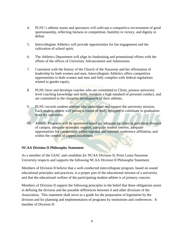- 4. PLNU's athletic teams and spectators will cultivate a competitive environment of good sportsmanship, reflecting fairness in competition, humility in victory, and dignity in defeat.
- 5. Intercollegiate Athletics will provide opportunities for fan engagement and the cultivation of school spirit.
- 6. The Athletics Department will align its fundraising and promotional efforts with the efforts of the offices of University Advancement and Admissions.
- 7. Consistent with the history of the Church of the Nazarene and her affirmation of leadership by both women and men, Intercollegiate Athletics offers competitive opportunities to both women and men and fully complies with federal regulations related to gender equity.
- 8. PLNU hires and develops coaches who are committed to Christ, possess university level coaching knowledge and skills, maintain a high standard of personal conduct, and are committed to the character development of their athletes.
- 9. PLNU recruits student-athletes who understand and support the university mission. Each student-athlete will pursue a course of study designed to culminate in graduation from the university.
- 10. Athletic Programs will be sponsored based on: adequate facilities in proximate distance of campus, adequate economic support, adequate student interest, adequate opportunities for competition within regional and national conference affiliation, and within the context of capped enrollment.

# **NCAA Division II Philosophy Statement**

As a member of the GSAC and *candidate for* NCAA Division II, Point Loma Nazarene University respects and supports the following NCAA Division II Philosophy Statement.

Members of Division II believe that a well-conducted intercollegiate program, based on sound educational principles and practices, is a proper part of the educational mission of a university and that the educational welfare of the participating student-athlete is of primary concern.

Members of Division II support the following principles in the belief that these obligations assist in defining the division and the possible differences between it and other divisions of the Association. This statement shall serve as a guide for the preparation of legislation by the division and for planning and implementation of programs by institutions and conferences. A member of Division II: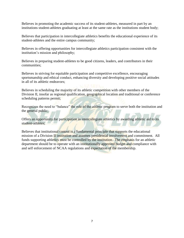Believes in promoting the academic success of its student-athletes, measured in part by an institutions student-athletes graduating at least at the same rate as the institutions student body;

Believes that participation in intercollegiate athletics benefits the educational experience of its student-athletes and the entire campus community;

Believes in offering opportunities for intercollegiate athletics participation consistent with the institution's mission and philosophy;

Believes in preparing student-athletes to be good citizens, leaders, and contributors in their communities;

Believes in striving for equitable participation and competitive excellence, encouraging sportsmanship and ethical conduct, enhancing diversity and developing positive social attitudes in all of its athletic endeavors;

Believes in scheduling the majority of its athletic competition with other members of the Division II, insofar as regional qualification, geographical location and traditional or conference scheduling patterns permit;

Recognizes the need to "balance" the role of the athletic program to serve both the institution and the general public;

Offers an opportunity for participation in intercollegiate athletics by awarding athletic aid to its student-athletes;

Believes that institutional control is a fundamental principle that supports the educational mission of a Division II institution and assumes presidential involvement and commitment. All funds supporting athletics must be controlled by the institution. The emphasis for an athletic department should be to operate with an institutionally approved budget and compliance with and self enforcement of NCAA regulations and expectation of the membership.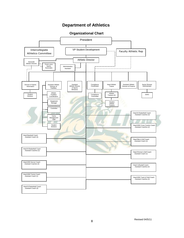# **Department of Athletics**



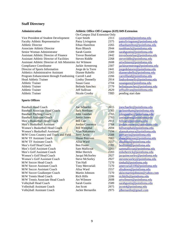#### **Staff Directory**

Vice President of Student Development Caye Smith 2313 [cayesmith@pointloma.edu](mailto:cayesmith@pointloma.edu) Faculty Athletic Representative Patsy Livingston 2375 patsylivingston @pointloma.edu Athletic Director Ethan Hamilton 2265 [ethanhamilton@pointloma.edu](mailto:ethanhamilton@pointloma.edu) Associate Athletic Director Russ Blunck 2944 [russblunck@pointloma.edu](mailto:russblunck@pointloma.edu) Senior Woman Administrator Sarah Gustin 2589 sarahgustin a pointloma.edu<br>
Assistant Athletic Director of Finance Trevor Bostelaar 2442 trevorbostelaar a pointloma.edu Assistant Athletic Director of Finance Trevor Bostelaar 2442 Assistant Athletic Director of Facilities Steven Riddle 2268 [steveriddle@pointloma.edu](mailto:steveriddle@pointloma.edu) Assistant Athletic Director of Ath Ministries Art Wilmore 2608 [artwilmore@pointloma.edu](mailto:artwilmore@pointloma.edu) Compliance Coordinator Jackie Armstrong 2307 [jackiearmstrong@pointloma.edu](mailto:jackiearmstrong@pointloma.edu) Director of Sports Information Jorge de la Torre 2441 [jorgedelatorre@pointloma.edu](mailto:jorgedelatorre@pointloma.edu) Athletics Administrative Assistant Dianne Rabello 2265 [diannerabello@pointloma.edu](mailto:diannerabello@pointloma.edu)<br>
Program Enhancement through Fundraising Carroll Land 2266 carrollland@pointloma.edu Program Enhancement through Fundraising Carroll Land 2266 Head Athletic Trainer Lindsy Donnelly 2914 lindsydonnelly @pointloma.edu Athletic Trainer Susan Ganz 2704 [susanganz@pointloma.edu](mailto:susanganz@pointloma.edu) Athletic Trainer Belinda Sanchez 2779 [belindasanchez@pointloma.edu](mailto:belindasanchez@pointloma.edu) Athletic Trainer **Jeff Sullivan 2629** jeffsullivan 2629 jeffsullivan **2629** pointloma.edu Athletic Trainer Nicole Crosby TBD pending start date

#### **Sports Offices**

Baseball Head Coach Joe Schaefer 2615 [joeschaefer@pointloma.edu](mailto:joeschaefer@pointloma.edu) Baseball Associate Head Coach Jack Northam 2765 [jacknortham@pointloma.edu](mailto:jacknortham@pointloma.edu) Baseball Pitching Coach John Gunther 2765 johngunther @pointloma.edu Baseball Assistant Coach Justin James 2765 justiniames@pointloma.edu<br>
Men's Basketball Head Coach Bill Carr 2911 billcarr@pointloma.edu Men's Basketball Head Coach Bill Carr 2911 [billcarr@pointloma.edu](mailto:billcarr@pointloma.edu) Men's Basketball Assistant Jordan Courneya 2764 [jordancourneya@pointloma.edu](mailto:jordancourneya@pointloma.edu) Women's Basketball Head Coach Bill Westphal 2694 billwestphal @pointloma.edu Women's Basketball Assistant Alan Nakamura 7194 alannakamura @pointloma.edu M/W Cross Country and Track and Field Jerry Arvin 2588 [jerryarvin@pointloma.edu](mailto:jerryarvin@pointloma.edu) M/W TF Assistant Coach Shane Peterson 7083 shanepeterson @pointloma.edu M/W TF Assistant Coach Alisa Ward 2557 [alisaboon@pointloma.edu](mailto:alisaboon@pointloma.edu) Men's Golf Head Coach Ben Foster 2283 [benfoster@pointloma.edu](mailto:benfoster@pointloma.edu) Men's Golf Assistant Coach Sam Mallicoat 2283 sammallicoat Opointloma.edu<br>
Men's Golf Assistant Coach Mike Herrick 2283 mikeherrick opointloma.edu Men's Golf Assistant Coach Mike Herrick 2283 mikeherrick @pointloma.edu Women's Golf Head Coach Jacqui McSorley 2927 [jacquimcsorley@pointloma.edu](mailto:jacquimcsorley@pointloma.edu) Women's Golf Assistant Coach Steve McSorley 2927 [stevemcsorley@pointloma.edu](mailto:stevemcsorley@pointloma.edu)<br>
M/W Soccer Head Coach Tim Hall 2001 1270 11 mhall@pointloma.edu M/W Soccer Head Coach Tim Hall 7270 M/W Soccer Assistant Coach Tony Mercuriali 7270 [amercuriali100@pointloma.edu](mailto:amercuriali100@pointloma.edu) M/W Soccer Assistant Coach Alisa Ward 2557 [alisaboon@pointloma.edu](mailto:alisaboon@pointloma.edu) M/W Soccer Goalkeeper Coach Martin Johnson 7270 [ukiscmartinjohnson@yahoo.com](mailto:ukiscmartinjohnson@yahoo.com) M/W Tennis Head Coach Rich Hills 2206 richnills appointloma.edu M/W Tennis Associate Head Coach Art Wilmore 2608 [artwilmore@pointloma.edu](mailto:artwilmore@pointloma.edu) Volleyball Head Coach Sarah Gustin 2589 [sarahgustin@pointloma.edu](mailto:sarahgustin@pointloma.edu) Volleyball Assistant Coach Jon Scott 2975 <u>[jscott4@pointloma.edu](mailto:jscott4@pointloma.edu)</u><br>
Volleyball Assistant Coach Jackie Bernardin 2975 <u>jdbernardin@gmail.com</u> Volleyball Assistant Coach Jackie Bernardin 2975

#### **Administration Athletic Office Off-Campus (619) 849-Extension**

On-Campus Dial Extension Only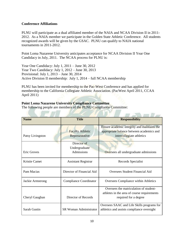# **Conference Affiliations**

PLNU will participate as a dual affiliated member of the NAIA and NCAA Division II in 2011- 2012. As a NAIA member we participate in the Golden State Athletic Conference. All students recognized awards will be given by the GSAC. PLNU can qualify to NAIA national tournaments in 2011-2012.

Point Loma Nazarene University anticipates acceptance for NCAA Division II Year One Candidacy in July, 2011. The NCAA process for PLNU is:

Year One Candidacy: July 1, 2011 – June 30, 2012 Year Two Candidacy: July 1, 2012 – June 30, 2013 Provisional: July 1, 2013 – June 30, 2014 Active Division II membership: July 1, 2014 – full NCAA membership

PLNU has been invited for membership to the Pac-West Conference and has applied for membership to the California Collegiate Athletic Association. (PacWest April 2011, CCAA April 2011)

**CONTRACTOR** 

 $-100$ 

# **Point Loma Nazarene University Compliance Committee**

The following people are members of the PLNU Compliance Committee:

| <b>Name</b>      | <b>Title</b>                  | <b>Responsibility</b>                       |
|------------------|-------------------------------|---------------------------------------------|
|                  |                               |                                             |
|                  |                               | Ensure academic integrity and maintains the |
|                  | <b>Faculty Athletic</b>       | appropriate balance between academics and   |
| Patsy Livingston | Representative                | intercollegiate athletics                   |
|                  |                               |                                             |
|                  | Director of                   |                                             |
|                  | Undergraduate                 |                                             |
| Eric Groves      | Admissions                    | Oversees all undergraduate admissions       |
|                  |                               |                                             |
| Kristie Camet    | <b>Assistant Registrar</b>    | Records Specialist                          |
|                  |                               |                                             |
| Pam Macias       | Director of Financial Aid     | Oversees Student Financial Aid              |
|                  |                               |                                             |
| Jackie Armstrong | Compliance Coordinator        | Oversees Compliance within Athletics        |
|                  |                               |                                             |
|                  |                               | Oversees the matriculation of student-      |
|                  |                               | athletes in the area of course requirements |
| Cheryl Gaughan   | Director of Records           | required for a degree                       |
|                  |                               |                                             |
|                  |                               | Oversees SAAC and Life Skills programs for  |
| Sarah Gustin     | <b>SR Woman Administrator</b> | athletics and assists compliance oversight  |
|                  |                               |                                             |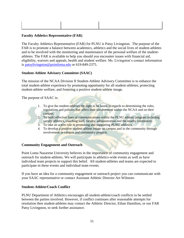# **Faculty Athletics Representative (FAR)**

The Faculty Athletics Representative (FAR) for PLNU is Patsy Livingston. The purpose of the FAR is to promote a balance between academics, athletics and the social lives of student-athletes and to be involved with the monitoring and maintenance of the personal welfare of the studentathletes. The FAR is available to help you should you encounter issues with financial aid, eligibility, waivers and appeals, health and student welfare. Ms. Livingston's contact information is [patsylivingston@pointloma.edu](mailto:patsylivingston@pointloma.edu) or 619-849-2375.

# **Student-Athlete Advisory Committee (SAAC)**

The mission of the NCAA Division II Student-Athlete Advisory Committee is to enhance the total student-athlete experience by promoting opportunity for all student-athletes; protecting student-athlete welfare; and fostering a positive student-athlete image.

The purpose of SAAC is:

- 1. To give the student-athletes the right to be heard in regards to determining the rules, regulations and policies that affect their involvement within the NCAA and on their campus.
- 2. To build effective lines of communications within the PLNU athletic program including varsity athletics, coaching staff, faculty, administration and the nearby community.
- 3. To take an active role in promoting and supporting PLNU athletics.
- 4. To develop a positive student-athlete image on campus and in the community through involvement in campus and community projects.

# **Community Engagement and Outreach**

Point Loma Nazarene University believes in the importance of community engagement and outreach for student-athletes. We will participate in athletics-wide events as well as have individual team projects to support this belief. All student-athletes and teams are expected to participate in these events and individual team events.

If you have an idea for a community engagement or outreach project you can communicate with your SAAC representative or contact Assistant Athletic Director Art Wilmore.

# **Student-Athlete/Coach Conflict**

PLNU Department of Athletics encourages all student-athlete/coach conflicts to be settled between the parties involved. However, if conflict continues after reasonable attempts for resolution then student-athletes may contact the Athletic Director, Ethan Hamilton, or our FAR Patsy Livingston, to seek further assistance.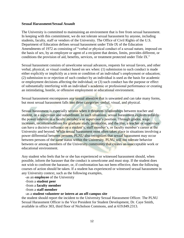#### **Sexual Harassment/Sexual Assault**

The University is committed to maintaining an environment that is free from sexual harassment. In keeping with this commitment, we do not tolerate sexual harassment by anyone, including students, faculty, staff or vendors of the University. The Office of Civil Rights of the U.S. Department of Education defines sexual harassment under Title IX of the Education Amendments of 1972 as consisting of "verbal or physical conduct of a sexual nature, imposed on the basis of sex, by an employee or agent of a recipient that denies, limits, provides different, or conditions the provision of aid, benefits, services, or treatment protected under Title IX."

Sexual harassment consists of unwelcome sexual advances, requests for sexual favors, and other verbal, physical, or visual conduct based on sex when: (1) submission to such conduct is made either explicitly or implicitly as a term or condition of an individual's employment or education; (2) submission to or rejection of such conduct by an individual is used as the basis for academic or employment decisions affecting the individual; or (3) such conduct has the purpose or effect of substantially interfering with an individual's academic or professional performance or creating an intimidating, hostile, or offensive employment or educational environment.

Sexual harassment encompasses any sexual attention that is unwanted and can take many forms, but most sexual harassment falls into three categories: verbal, visual, and physical.

Sexual harassment is especially serious when it threatens relationships between teacher and student, or a supervisor and subordinate. In such situations, sexual harassment exploits unfairly the power inherent in a faculty member's or supervisor's position. Through grades, wage increases, recommendations for graduate study, promotion, and the like, a teacher or supervisor can have a decisive influence on a student's, staff member's, or faculty member's career at the University and beyond. While sexual harassment most often takes place in situations involving a power differential between persons, PLNU also recognizes that sexual harassment may occur between persons of the same status within the University. PLNU will not tolerate behavior between or among members of the University community that creates an unacceptable work or educational environment.

Any student who feels that he or she has experienced or witnessed harassment should, when possible, inform the harasser that the conduct is unwelcome and must stop. If the student does not wish to confront the harasser, or, if confrontation has not been effective, then the following courses of action should be taken. If a student has experienced or witnessed sexual harassment in any University context, such as the following examples,

- -as an **employee** of the University
- -from a **student peer**
- -from a **faculty member**
- -from a **staff member**

-as a **student volunteer or intern at an off-campus site**

the student should report the incident to the University Sexual Harassment Officer. The PLNU Sexual Harassment Officer is the Vice President for Student Development, Dr. Caye Smith, available in office 303, third floor of Nicholson Commons, and at 619.849.2313.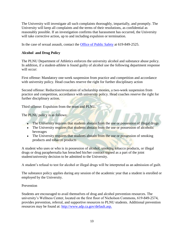The University will investigate all such complaints thoroughly, impartially, and promptly. The University will keep all complaints and the terms of their resolutions, as confidential as reasonably possible. If an investigation confirms that harassment has occurred, the University will take corrective action, up to and including expulsion or termination.

In the case of sexual assault, contact the [Office of Public Safety](http://www.pointloma.edu/experience/community/student-life/health-and-safety/public-safety) at 619-849-2525.

# **Alcohol and Drug Policy**

The PLNU Department of Athletics enforces the university alcohol and substance abuse policy. In addition, if a student-athlete is found guilty of alcohol use the following department response will occur:

First offense: Mandatory one-week suspension from practice and competition and accordance with university policy. Head coaches reserve the right for further disciplinary action

Second offense: Reduction/revocation of scholarship monies, a two-week suspension from practice and competition, accordance with university policy. Head coaches reserve the right for further disciplinary action.

Third offense: Expulsion from the team and PLNU.

The PLNU policy is as follows:

- The University requires that students abstain from the use or possession of illegal drugs
- The University requires that students abstain from the use or possession of alcoholic beverages
- The University requires that students abstain from the use or possession of smoking products and tobacco products

A student who uses or who is in possession of alcohol, smoking tobacco products, or illegal drugs or drug paraphernalia has breached his/her contract signed as a part of the joint student/university decision to be admitted to the University.

A student's refusal to test for alcohol or illegal drugs will be interpreted as an admission of guilt.

The substance policy applies during any session of the academic year that a student is enrolled or employed by the University.

# Prevention

Students are encouraged to avail themselves of drug and alcohol prevention resources. The university's Wellness Center, located on the first floor of Nicholson Commons, 619-849-2574, provides prevention, referral, and supportive resources to PLNU students. Additional prevention resources may be found at:<http://www.adp.ca.gov/default.asp.>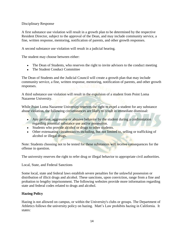Disciplinary Response

A first substance use violation will result in a growth plan to be determined by the respective Resident Director, subject to the approval of the Dean, and may include community service, a fine, written response, mentoring, notification of parents, and other growth responses.

A second substance use violation will result in a judicial hearing.

The student may choose between either:

- The Dean of Students, who reserves the right to invite advisors to the conduct meeting
- The Student Conduct Committee

The Dean of Students and the Judicial Council will create a growth plan that may include community service, a fine, written response, mentoring, notification of parents, and other growth responses.

A third substance use violation will result in the expulsion of a student from Point Loma Nazarene University.

While Point Loma Nazarene University reserves the right to expel a student for any substance abuse violation, the following circumstances are likely to result in immediate dismissal:

- Any profane, aggressive or abusive behavior by the student during a confrontation regarding potential substance use and/or possession.
- Students who provide alcohol or drugs to other students.
- Other extenuating circumstances including, but not limited to, selling or trafficking of alcohol or illegal drugs.

Note: Students choosing not to be tested for these substances will receive consequences for the offense in question.

The university reserves the right to refer drug or illegal behavior to appropriate civil authorities.

# Local, State, and Federal Sanctions

Some local, state and federal laws establish severe penalties for the unlawful possession or distribution of illicit drugs and alcohol. These sanctions, upon conviction, range from a fine and probation to lengthy imprisonment. The following websites provide more information regarding state and federal codes related to drugs and alcohol.

# **Hazing Policy**

Hazing is not allowed on campus, or within the University's clubs or groups. The Department of Athletics follows the university policy on hazing. Matt's Law prohibits hazing in California. It states: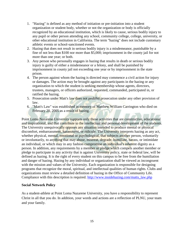- 1. "Hazing" is defined as any method of initiation or pre-initiation into a student organization or student body, whether or not the organization or body is officially recognized by an educational institution, which is likely to cause, serious bodily injury to any pupil or other person attending any school, community college, college, university, or other educational institution in California. The term "hazing" does not include customary athletic events or school-sanctioned events.
- 2. Hazing that does not result in serious bodily injury is a misdemeanor, punishable by a fine of not less than \$100 nor more than \$5,000; imprisonment in the county jail for not more than one year; or both.
- 3. Any person who personally engages in hazing that results in death or serious bodily injury is guilty of either a misdemeanor or a felony, and shall be punished by imprisonment in county jail not exceeding one year or by imprisonment in the state prison.
- 4. The person against whom the hazing is directed may commence a civil action for injury or damages. The action may be brought against any participants in the hazing or any organization to which the student is seeking membership whose agents, directors, trustees, managers, or officers authorized, requested, commanded, participated in, or ratified the hazing.
- 5. Prosecution under Matt's law does not prohibit prosecution under any other provision of law.
- 6. "Matt's Law" was established in memory of Matthew William Carrington who died on February 20, 2005 as a result of hazing.

Point Loma Nazarene University supports only those activities that are constructive, educational and inspirational, and that contribute to the intellectual and personal development of the students. The University unequivocally opposes any situation intended to produce mental or physical discomfort, embarrassment, harassment, or ridicule. The University interprets hazing as any act, whether physical, mental, emotional or psychological, that subjects another person, voluntarily or involuntarily, to anything that may abuse, mistreat, degrade, humiliate, harass, or intimidate an individual, or which may in any fashion compromise an individual's inherent dignity as a person. In addition, any requirements by a member or pledge which compels another member or pledge to participate in any activity that is against University policy, state or federal law, will be defined as hazing. It is the right of every student on this campus to be free from the humiliation and danger of hazing. Hazing by any individual or organization shall be viewed as incongruent with the mission and values of the University. Each organization is responsible for designing programs that recognize the moral, spiritual, and intellectual qualities of human rights. Clubs and organizations must review a detailed definition of hazing in the Office of Community Life. Compliance with this description is required. [http://www.insidehazing.com/matts\\_law.php](http://www.insidehazing.com/matts_law.php)

# **Social Network Policy**

As a student-athlete at Point Loma Nazarene University, you have a responsibility to represent Christ in all that you do. In addition, your words and actions are a reflection of PLNU, your team and your family.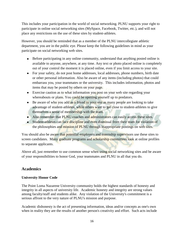This includes your participation in the world of social networking. PLNU supports your right to participate in online social networking sites (MySpace, Facebook, Twitter, etc.), and will not place any restrictions on the use of these sites by student-athletes.

However, you should be reminded that as a member of the PLNU intercollegiate athletic department, you are in the public eye. Please keep the following guidelines in mind as your participate on social networking web sites.

- Before participating in any online community, understand that anything posted online is available to anyone, anywhere, at any time. Any text or photo placed online is completely out of your control the moment it is placed online, even if you limit access to your site.
- For your safety, do not post home addresses, local addresses, phone numbers, birth date or other personal information. Also be aware of any items (including photos) that could embarrass you, your teammates or the university. This includes information, photos and items that may be posted by others on your page.
- Exercise caution as to what information you post on your web site regarding your whereabouts or plans. You could be opening yourself up to predators.
- Be aware of who you add as a friend to your site as many people are looking to take advantage of student-athletes, while others want to get close to student-athletes to give themselves a sense of membership with the team.
- Also remember that PLNU coaches and administrators can easily access these sites.
- Student-athletes can face discipline and even dismissal from their team for violation of the philosophies and mission of PLNU through inappropriate postings on web sites.

You should also be aware that potential employers and internship supervisors use these sites to screen candidates. Many graduate programs and scholarship committees look at online profiles to separate applicants.

Above all, just remember to use common sense when using social networking sites and be aware of your responsibilities to honor God, your teammates and PLNU in all that you do.

# **Academics**

# **University Honor Code**

The Point Loma Nazarene University community holds the highest standards of honesty and integrity in all aspects of university life. Academic honesty and integrity are strong values among faculty/staff and students alike. Any violation of the University's commitment is a serious affront to the very nature of PLNU's mission and purpose.

Academic dishonesty is the act of presenting information, ideas and/or concepts as one's own when in reality they are the results of another person's creativity and effort. Such acts include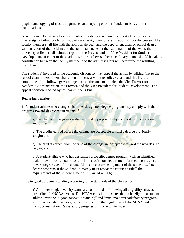plagiarism, copying of class assignments, and copying or other fraudulent behavior on examinations.

A faculty member who believes a situation involving academic dishonesty has been detected may assign a failing grade for that particular assignment or examination, and/or the course. The faculty member shall file with the appropriate dean and the department chair or school dean a written report of the incident and the action taken. After the examination of the event, the university official shall submit a report to the Provost and the Vice President for Student Development. If either of these administrators believes other disciplinary action should be taken, consultation between the faculty member and the administrators will determine the resulting discipline.

The student(s) involved in the academic dishonesty may appeal the action by talking first to the school dean or department chair, then, if necessary, to the college dean, and finally, to a committee of the following: A college dean of the student's choice, the Vice Provost for Academic Administration, the Provost, and the Vice President for Student Development. The appeal decision reached by this committee is final.

# **Declaring a major**

1. A student-athlete who changes his or her designated degree program may comply with the progress-toward-degree requirements if:

a) The change in programs is documented appropriately by the institution's academic authorities;

b) The credits earned before the change are acceptable toward a degree previously sought; and

c) The credits earned from the time of the change are acceptable toward the new desired degree; and

d) A student-athlete who has designated a specific degree program with an identified major may not use a course to fulfill the credit-hour requirement for meeting progress toward degree even if the course fulfills an elective component of the student-athlete's degree program, if the student ultimately must repeat the course to fulfill the requirements of the student's major. (bylaw 14.4.3.1.6)

2. Be in good academic standing according to the standards of the University:

a) All intercollegiate varsity teams are committed to following all eligibility rules as prescribed for NCAA events. The NCAA constitution states that to be eligible a studentathlete "must be in good academic standing" and "must maintain satisfactory progress toward a baccalaureate degree as prescribed by the regulations of the NCAA and the member institution." Satisfactory progress is interpreted to mean: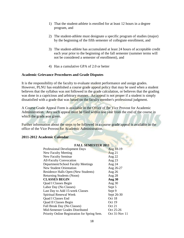- 1) That the student-athlete is enrolled for at least 12 hours in a degree program, and
- 2) The student-athlete must designate a specific program of studies (major) by the beginning of the fifth semester of collegiate enrollment, and
- 3) The student-athlete has accumulated at least 24 hours of acceptable credit each year prior to the beginning of the fall semester (summer terms will not be considered a semester of enrollment), and
- 4) Has a cumulative GPA of 2.0 or better

# **Academic Grievance Procedures and Grade Disputes**

It is the responsibility of the faculty to evaluate student performance and assign grades. However, PLNU has established a course grade appeal policy that may be used when a student believes that the syllabus was not followed in the grade calculation, or believes that the grading was done in a capricious and arbitrary manner. An appeal is not proper if a student is simply dissatisfied with a grade that was based on the faculty member's professional judgment.

A Course Grade Appeal Form is available in the Office of the Vice Provost for Academic Administration. Any such appeal must be filed within one year from the end of the course in which the grade was given.

Further information about the steps to be followed in a course grade appeal is available in the office of the Vice Provost for Academic Administration.

# **2011-2012 Academic Calendar**

# **FALL SEMESTER 2011**

| Aug 18-19     |  |
|---------------|--|
| Aug $21$      |  |
| Aug 22        |  |
| Aug 23        |  |
| Aug 24        |  |
| Aug 26-27     |  |
| Aug $26$      |  |
| Aug 28        |  |
| Aug 30        |  |
| Aug 30        |  |
| Sept 5        |  |
| Sept 9        |  |
| Sept 26-30    |  |
| Oct 18        |  |
| Oct 19        |  |
| Oct 21        |  |
| Oct 25-26     |  |
| Oct 31-Nov 11 |  |
|               |  |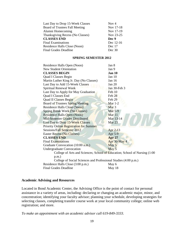| Last Day to Drop 15-Week Classes | Nov $4$   |
|----------------------------------|-----------|
| Board of Trustees Fall Meeting   | Nov 17-18 |
| Alumni Homecoming                | Nov 17-19 |
| Thanksgiving Recess (No Classes) | Nov 23-25 |
|                                  |           |
| <b>CLASSES END</b>               | Dec 9     |
| <b>Final Examinations</b>        | Dec 12-16 |
| Residence Halls Close (Noon)     | Dec 17    |

#### **SPRING SEMESTER 2012**

|  | Residence Halls Open (Noon)                                                 | Jan 8             |
|--|-----------------------------------------------------------------------------|-------------------|
|  | <b>New Student Orientation</b>                                              | Jan 9             |
|  | <b>CLASSES BEGIN</b>                                                        | Jan 10            |
|  | Quad I Classes Begin                                                        | Jan $10$          |
|  | Martin Luther King Jr. Day (No Classes)                                     | Jan 16            |
|  | Last Day to Add 15-Week Classes                                             | Jan 20            |
|  | Spiritual Renewal Week                                                      | Jan 30-Feb 3      |
|  | Last Day to Apply for May Graduation                                        | Feb 10            |
|  | Quad I Classes End                                                          | Feb 28            |
|  | <b>Quad II Classes Begin</b>                                                | Feb 29            |
|  | <b>Board of Trustees Spring Meeting</b>                                     | Mar $1-2$         |
|  | Residence Halls Close (Noon)                                                | Mar <sub>3</sub>  |
|  | Spring Break Week (No Classes)                                              | <b>Mar 5-9</b>    |
|  | Residence Halls Open (Noon)                                                 | Mar <sub>11</sub> |
|  | Mid-Semester Grades Distributed                                             | Mar 13-14         |
|  | Last Day to Drop 15-Week Classes                                            | Mar 23            |
|  | <b>Priority Online Registration for Summer</b>                              |                   |
|  | Sessions/Fall Semester 2012                                                 | Apr 2-13          |
|  | Easter Recess (No Classes)                                                  | Apr 5-9           |
|  | <b>CLASSES END</b>                                                          | <b>Apr 27</b>     |
|  | <b>Final Examinations</b>                                                   | Apr 30-May 4      |
|  | Graduate Convocation (10:00 a.m.)                                           | May 5             |
|  | <b>Undergraduate Convocation</b>                                            | May 5             |
|  | College of Arts and Sciences; School of Education; School of Nursing (1:00) |                   |
|  | $p.m.$ )                                                                    |                   |
|  | College of Social Sciences and Professional Studies (4:00 p.m.)             |                   |
|  | Residence Halls Close (3:00 p.m.)                                           | May 6             |
|  | <b>Final Grades Deadline</b>                                                | May 18            |
|  |                                                                             |                   |

### **Academic Advising and Resources**

Located in Bond Academic Center, the Advising Office is the point of contact for personal assistance in a variety of areas, including: declaring or changing an academic major, minor, and concentration; identifying your faculty advisor; planning your schedule, developing strategies for selecting classes, completing transfer course work at your local community college; online web registration; and more.

*To make an appointment with an academic advisor call 619-849-3333.*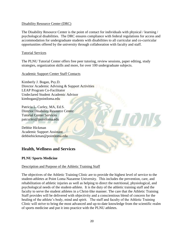# Disability Resource Center (DRC)

The Disability Resource Center is the point of contact for individuals with physical / learning / psychological disabilities. The DRC ensures compliance with federal regulations for access and accommodation for undergraduate students with disabilities to all curricular and co-curricular opportunities offered by the university through collaboration with faculty and staff.

# Tutorial Services

The PLNU Tutorial Center offers free peer tutoring, review sessions, paper editing, study strategies, organization skills and more, for over 100 undergraduate subjects.

# Academic Support Center Staff Contacts

Kimberly J. Bogan, Psy.D. Director Academic Advising & Support Activities LEAP Program Co-Facilitator Undeclared Student Academic Advisor kimbogan@pointloma.edu

Patricia L. Curley, MA, Ed.S. Director Disability Resource Center Tutorial Center Services patcurley@pointloma.edu

Debbie Hickman Academic Support Assistant debbiehickman@pointloma.edu

# **Health, Wellness and Services**

# **PLNU Sports Medicine**

# Description and Purpose of the Athletic Training Staff

The objectives of the Athletic Training Clinic are to provide the highest level of service to the student-athletes at Point Loma Nazarene University. This includes the prevention, care, and rehabilitation of athletic injuries as well as helping to direct the nutritional, physiological, and psychological needs of the student-athlete. It is the duty of the athletic training staff and the faculty to serve the student athletes in a Christ-like manner. The care that the Athletic Training Staff provides will be delivered with objectivity and a conscientious blend of concern for the healing of the athlete's body, mind and spirit. The staff and faculty of the Athletic Training Clinic will strive to bring the most advanced and up-to-date knowledge from the scientific realm of sports medicine and put it into practice with the PLNU athletes.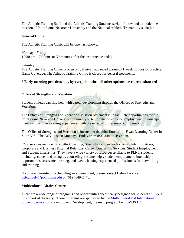The Athletic Training Staff and the Athletic Training Students seek to follow and to model the mission of Point Loma Nazarene University and the National Athletic Trainers' Association.

# **General Hours**

The Athletic Training Clinic will be open as follows:

Monday - Friday 12:30 pm – 7:00pm (or 30 minutes after the last practice ends)

Saturday

The Athletic Training Clinic is open only if given advanced warning (1 week notice) for practice. Game Coverage: The Athletic Training Clinic is closed for general treatments.

# \* **Early morning practices only by exception when all other options have been exhausted**

# **Office of Strengths and Vocation**

Student-athletes can find help with career development through the Offices of Strengths and Vocation.

The Offices of Strengths and Vocation's Mission Statement is to facilitate opportunities for the Point Loma Nazarene University community to build relationships for employment, internships, mentoring, and networking experiences with the external professional community.

The Office of Strengths and Vocation is located on the third floor of the Ryan Learning Center in Suite 306. The OSV is open Monday - Friday from 8:00 a.m. to 4:30 p.m.

OSV services include: Strengths Coaching, Strengths campus wide co-curricular initiatives, Corporate and Business External Relations, Career Counseling Services, Student Employment, and Student Internships. They have a wide variety of resources available to PLNU students including: career and strengths counseling, resume helps, student employment, internship opportunities, assessment testing, and events hosting experienced professionals for networking and training.

If you are interested in scheduling an appointment, please contact Debra Lively at [debralively@pointloma.edu](mailto:debralively@pointloma.edu) or (619) 849-2446.

# **Multicultural Affairs Center**

There are a wide range of programs and opportunities specifically designed for students at PLNU in support of diversity. These programs are sponsored by the [Multicultural and International](http://www.pointloma.edu/experience/community/student-life/diversity-and-multicultural/multicultural-and-international-student-services)  [Student Services](http://www.pointloma.edu/experience/community/student-life/diversity-and-multicultural/multicultural-and-international-student-services) office in Student Development, the main program being MOSAIC.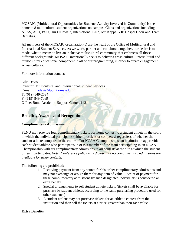MOSAIC (**M**ulticultural **O**pportunities for **S**tudents **A**ctivity **I**nvolved in **C**ommunity) is the home to 8 multicultural student organizations on campus. Clubs and organizations including ALAS, ASU, BSU, Hui O'Hawai'i, International Club, Mu Kappa, VIP Gospel Choir and Team Barnabas.

All members of the MOSAIC organization(s) are the heart of the Office of Multicultural and International Student Services. As we work, partner and collaborate together, our desire is to model what it means to live an inclusive multicultural community-that embraces all those different backgrounds. MOSAIC intentionally seeks to deliver a cross-cultural, intercultural and multicultural educational component in all of our programming, in order to create engagement across cultures.

For more information contact:

Lilia Davis Director, Multicultural and International Student Services E-mail: [liliadavis@pointloma.edu](mailto:liliadavis@pointloma.edu) T: (619) 849-2524 F: (619) 849-7069 Office: Bond Academic Support Center, 142

# **Benefits, Awards and Recognition**

# **Complimentary Admissions**

PLNU may provide four complimentary tickets per home contest to a student athlete in the sport in which the individual participates (either practices or competes) regardless of whether the student-athlete competes in the contest. For NCAA Championships, an institution may provide each student athlete who participates in or is a member of the team participating in an NCAA Championship with six complimentary admissions to all contests at the site at which the student or team participates. *Note: Conference policy may dictate that no complimentary admissions are available for away contests.*

The following are prohibited:

- 1. Receiving payment from any source for his or her complimentary admissions and may not exchange or assign them for any item of value. Receipt of payment for these complimentary admissions by such designated individuals is considered an extra benefit.
- 2. Special arrangements to sell student athlete tickets (tickets shall be available for purchase by student athletes according to the same purchasing procedure used for other students.)
- 3. A student athlete may not purchase tickets for an athletic contest from the institution and then sell the tickets at a price greater than their face value.

# **Extra Benefits**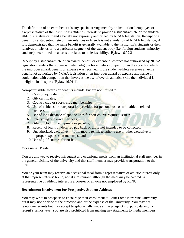The definition of an extra benefit is any special arrangement by an institutional employee or a representative of the institution's athletics interests to provide a student-athlete or the studentathlete's relative or friend a benefit not expressly authorized by NCAA legislation. Receipt of a benefit by a student-athlete or their relatives or friends is not a violation of NCAA legislation, if it is demonstrated that the same benefit is generally available to the institution's students or their relatives or friends or to a particular segment of the student body (i.e. foreign students, minority students) determined on a basis unrelated to athletics ability. [Bylaw 16.02.3]

Receipt by a student-athlete of an award, benefit or expense allowance not authorized by NCAA legislation renders the student-athlete ineligible for athletics competition in the sport for which the improper award, benefit or expense was received. If the student-athlete receives an extra benefit not authorized by NCAA legislation or an improper award of expense allowance in conjunction with competition that involves the use of overall athletics skill, the individual is ineligible in all sports [Bylaw 16.01.1].

Non-permissible awards or benefits include, but are not limited to;

- 1. Cash or equivalent;
- 2. Gift certificates;
- 3. Country club or sports-club memberships;
- 4. Use of vehicles or transportation provided for personal use or non-athletic related business;
- 5. Use of long distance telephone lines for non-course required issues;
- 6. Free typing or clerical services;
- 7. Gifts of clothing, equipment or jewelry;
- 8. Receipt of loans on deferred pay back or those not intended to be collected;
- 9. Unauthorized, excessive in-room movie rental, telephone use or other excessive or improper expenses on road trips; and
- 10. Use of golf courses for no fee.

# **Occasional Meals**

You are allowed to receive infrequent and occasional meals from an institutional staff member in the general vicinity of the university and that staff member may provide transportation to the meal.

You or your team may receive an occasional meal from a representative of athletic interest only at that representatives' home, not at a restaurant, although the meal may be catered. A representative of athletic interest is a booster or anyone not employed by PLNU.

# **Recruitment Involvement for Prospective Student Athletes**

You may write to prospects to encourage their enrollment at Point Loma Nazarene University, but it may not be done at the direction and/or the expense of the University. You may not telephone recruits but may accept telephone calls made at the prospect's expense during the recruit's senior year. You are also prohibited from making any statements to media members